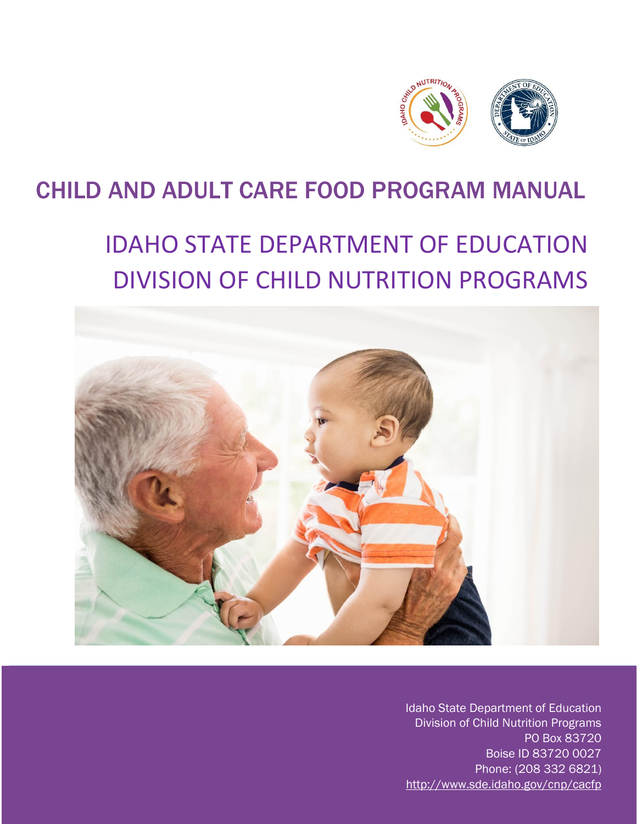

## CHILD AND ADULT CARE FOOD PROGRAM MANUAL

# IDAHO STATE DEPARTMENT OF EDUCATION DIVISION OF CHILD NUTRITION PROGRAMS



- Boise ID 83720 0027 Phone: (208 332 6821) Idaho State Department of Education Division of Child Nutrition Programs PO Box 83720 <http://www.sde.idaho.gov/cnp/cacfp>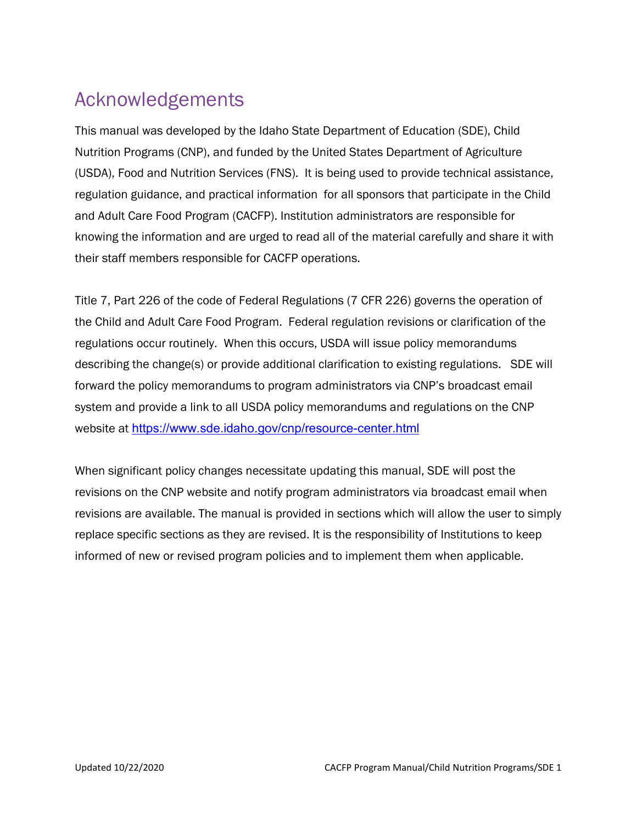#### Acknowledgements

 regulation guidance, and practical information for all sponsors that participate in the Child and Adult Care Food Program (CACFP). Institution administrators are responsible for This manual was developed by the Idaho State Department of Education (SDE), Child Nutrition Programs (CNP), and funded by the United States Department of Agriculture (USDA), Food and Nutrition Services (FNS). It is being used to provide technical assistance, knowing the information and are urged to read all of the material carefully and share it with their staff members responsible for CACFP operations.

 the Child and Adult Care Food Program. Federal regulation revisions or clarification of the describing the change(s) or provide additional clarification to existing regulations. SDE will [Title 7, Part 226 of the code of Federal Regulations \(7 CFR 226\) governs the o](http://www.ode.state.or.us/services/nutrition/cacfp/pdf/7_cfr_226.pdf)peration of regulations occur routinely. When this occurs, USDA will issue policy memorandums forward the policy memorandums to program administrators via CNP's broadcast email system and provide a link to all USDA policy memorandums and regulations on the CNP website at <https://www.sde.idaho.gov/cnp/resource-center.html>

 replace specific sections as they are revised. It is the responsibility of Institutions to keep When significant policy changes necessitate updating this manual, SDE will post the revisions on the CNP website and notify program administrators via broadcast email when revisions are available. The manual is provided in sections which will allow the user to simply informed of new or revised program policies and to implement them when applicable.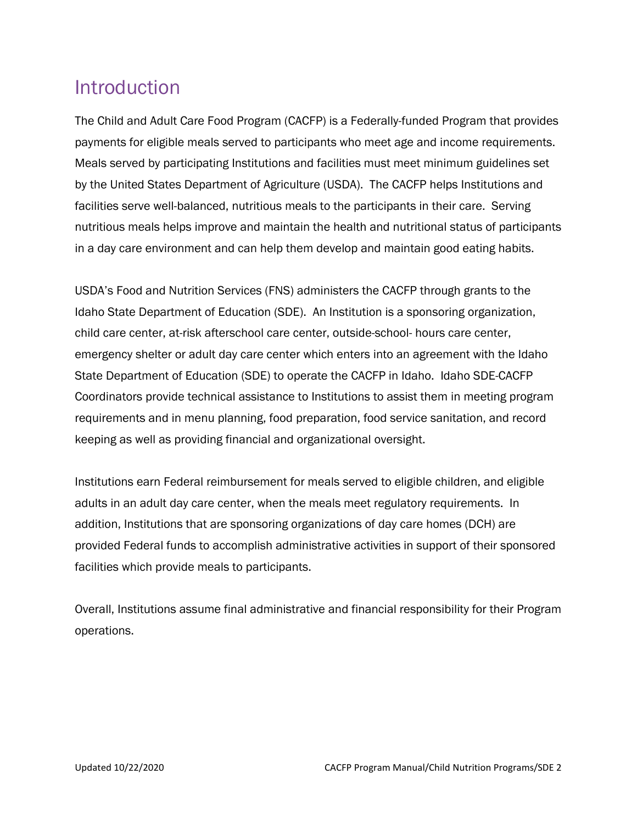Meals served by participating Institutions and facilities must meet minimum guidelines set by the United States Department of Agriculture (USDA). The CACFP helps Institutions and Introduction<br>The Child and Adult Care Food Program (CACFP) is a Federally-funded Program that provides payments for eligible meals served to participants who meet age and income requirements. facilities serve well-balanced, nutritious meals to the participants in their care. Serving nutritious meals helps improve and maintain the health and nutritional status of participants in a day care environment and can help them develop and maintain good eating habits.

 State Department of Education (SDE) to operate the CACFP in Idaho. Idaho SDE-CACFP USDA's Food and Nutrition Services (FNS) administers the CACFP through grants to the Idaho State Department of Education (SDE). An Institution is a sponsoring organization, child care center, at-risk afterschool care center, outside-school- hours care center, emergency shelter or adult day care center which enters into an agreement with the Idaho Coordinators provide technical assistance to Institutions to assist them in meeting program requirements and in menu planning, food preparation, food service sanitation, and record keeping as well as providing financial and organizational oversight.

 addition, Institutions that are sponsoring organizations of day care homes (DCH) are Institutions earn Federal reimbursement for meals served to eligible children, and eligible adults in an adult day care center, when the meals meet regulatory requirements. In provided Federal funds to accomplish administrative activities in support of their sponsored facilities which provide meals to participants.

 operations. Overall, Institutions assume final administrative and financial responsibility for their Program